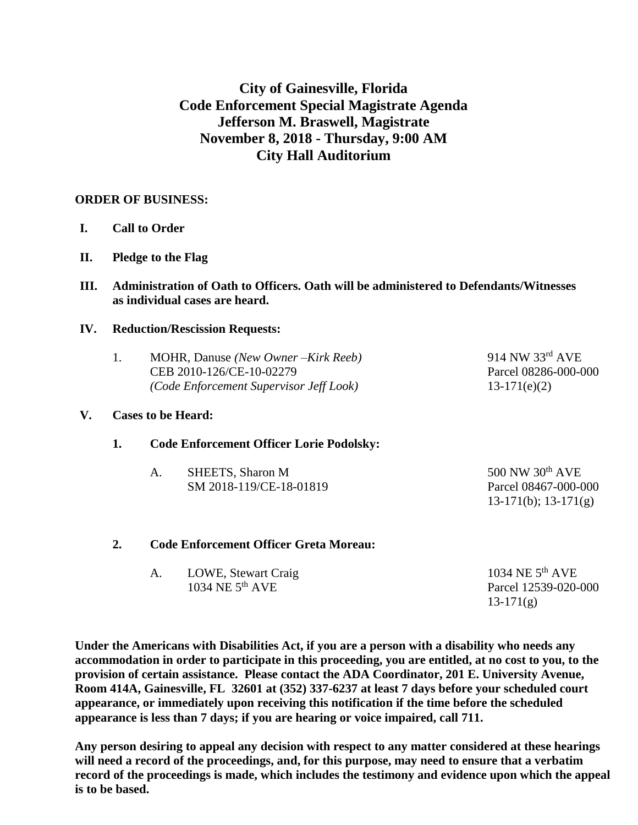# **City of Gainesville, Florida Code Enforcement Special Magistrate Agenda Jefferson M. Braswell, Magistrate November 8, 2018 - Thursday, 9:00 AM City Hall Auditorium**

## **ORDER OF BUSINESS:**

- **I. Call to Order**
- **II. Pledge to the Flag**
- **III. Administration of Oath to Officers. Oath will be administered to Defendants/Witnesses as individual cases are heard.**

## **IV. Reduction/Rescission Requests:**

| MOHR, Danuse (New Owner – Kirk Reeb)    | $914$ NW $33^{\text{rd}}$ AVE |
|-----------------------------------------|-------------------------------|
| CEB 2010-126/CE-10-02279                | Parcel 08286-000-000          |
| (Code Enforcement Supervisor Jeff Look) | $13-171(e)(2)$                |

## **V. Cases to be Heard:**

## **1. Code Enforcement Officer Lorie Podolsky:**

| А. | SHEETS, Sharon M        | 500 NW $30th$ AVE    |
|----|-------------------------|----------------------|
|    | SM 2018-119/CE-18-01819 | Parcel 08467-000-000 |
|    |                         | 13-171(b); 13-171(g) |

## **2. Code Enforcement Officer Greta Moreau:**

| LOWE, Stewart Craig | 1034 NE $5th$ AVE    |
|---------------------|----------------------|
| 1034 NE $5th$ AVE   | Parcel 12539-020-000 |
|                     | $13-171(g)$          |

**Under the Americans with Disabilities Act, if you are a person with a disability who needs any accommodation in order to participate in this proceeding, you are entitled, at no cost to you, to the provision of certain assistance. Please contact the ADA Coordinator, 201 E. University Avenue, Room 414A, Gainesville, FL 32601 at (352) 337-6237 at least 7 days before your scheduled court appearance, or immediately upon receiving this notification if the time before the scheduled appearance is less than 7 days; if you are hearing or voice impaired, call 711.**

**Any person desiring to appeal any decision with respect to any matter considered at these hearings will need a record of the proceedings, and, for this purpose, may need to ensure that a verbatim record of the proceedings is made, which includes the testimony and evidence upon which the appeal is to be based.**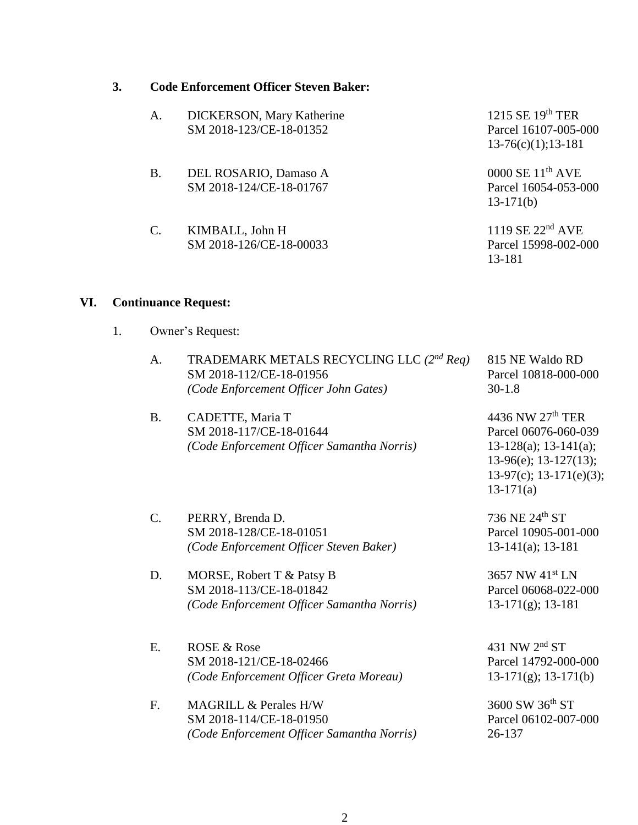#### **3. Code Enforcement Officer Steven Baker:**

| A.        | DICKERSON, Mary Katherine<br>SM 2018-123/CE-18-01352 | 1215 SE $19th$ TER<br>Parcel 16107-005-000<br>$13-76(c)(1); 13-181$ |
|-----------|------------------------------------------------------|---------------------------------------------------------------------|
| <b>B.</b> | DEL ROSARIO, Damaso A<br>SM 2018-124/CE-18-01767     | $0000$ SE $11th$ AVE<br>Parcel 16054-053-000<br>$13-171(b)$         |
| C.        | KIMBALL, John H<br>SM 2018-126/CE-18-00033           | 1119 SE $22nd$ AVE<br>Parcel 15998-002-000<br>13-181                |

#### **VI. Continuance Request:**

1. Owner's Request:

| $\mathsf{A}$ . | TRADEMARK METALS RECYCLING LLC (2 <sup>nd</sup> Req)<br>SM 2018-112/CE-18-01956<br>(Code Enforcement Officer John Gates) | 815 NE Waldo RD<br>Parcel 10818-000-000<br>$30-1.8$ |
|----------------|--------------------------------------------------------------------------------------------------------------------------|-----------------------------------------------------|
| - B.           | CADETTE, Maria T                                                                                                         | 4436 NW 27th TER                                    |

SM 2018-117/CE-18-01644 Parcel 06076-060-039 *(Code Enforcement Officer Samantha Norris)* 13-128(a); 13-141(a); 13-96(e); 13-127(13); 13-97(c); 13-171(e)(3);

13-171(a)

C. PERRY, Brenda D.  $736 \text{ NE } 24^{\text{th}} \text{ ST}$ SM 2018-128/CE-18-01051 Parcel 10905-001-000 *(Code Enforcement Officer Steven Baker)* 13-141(a); 13-181

- D. MORSE, Robert T & Patsy B 3657 NW 41<sup>st</sup> LN SM 2018-113/CE-18-01842 Parcel 06068-022-000 *(Code Enforcement Officer Samantha Norris)* 13-171(g); 13-181
- E. ROSE & Rose  $431$  NW  $2<sup>nd</sup>$  ST SM 2018-121/CE-18-02466 Parcel 14792-000-000 *(Code Enforcement Officer Greta Moreau)* 13-171(g); 13-171(b)
- F. MAGRILL & Perales H/W 3600 SW 36<sup>th</sup> ST SM 2018-114/CE-18-01950 Parcel 06102-007-000 *(Code Enforcement Officer Samantha Norris)* 26-137